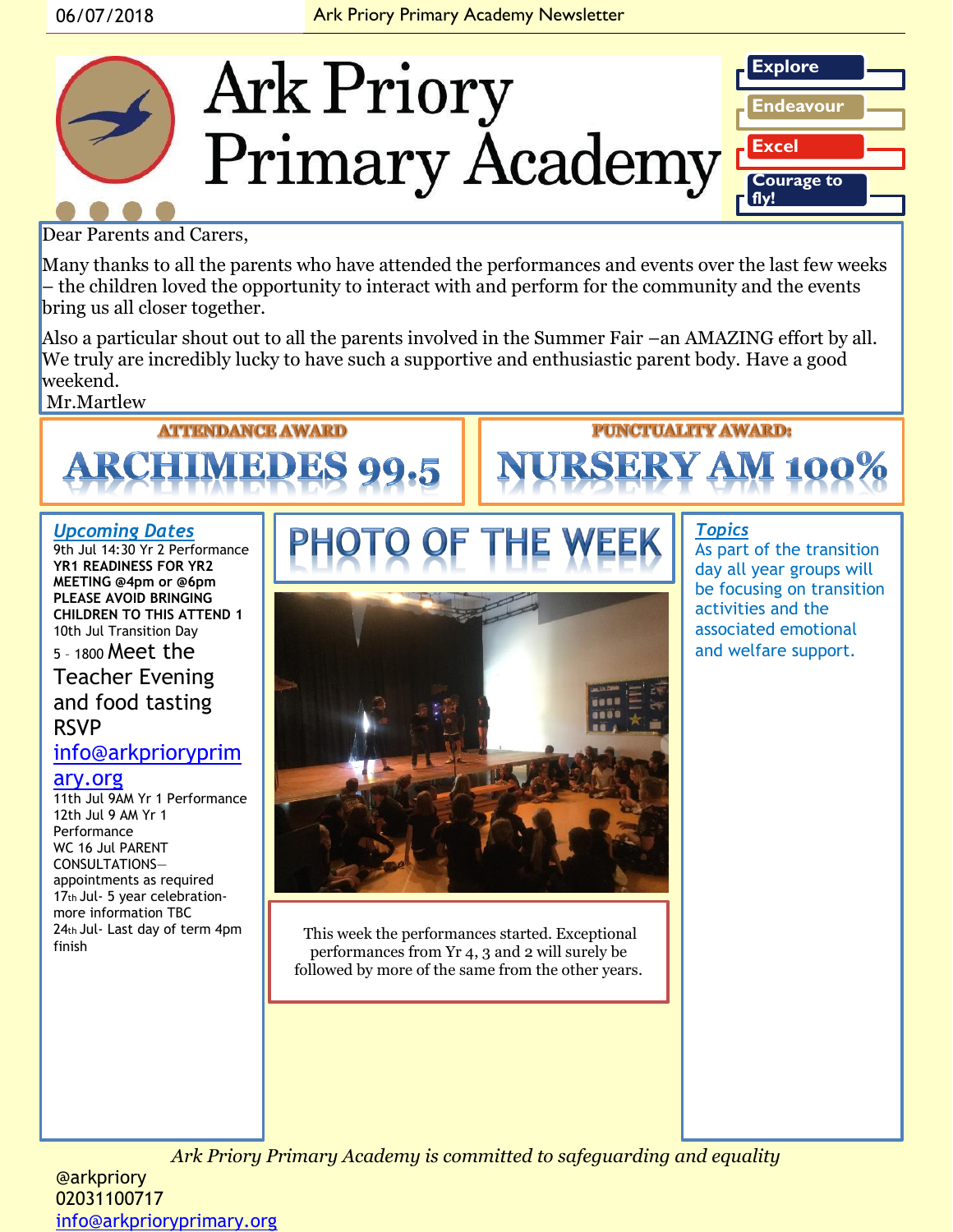

Dear Parents and Carers,

Many thanks to all the parents who have attended the performances and events over the last few weeks – the children loved the opportunity to interact with and perform for the community and the events bring us all closer together.

Also a particular shout out to all the parents involved in the Summer Fair –an AMAZING effort by all. We truly are incredibly lucky to have such a supportive and enthusiastic parent body. Have a good weekend.

#### Mr.Martlew

# **ATTENDANCE AWARD RCHIMEDES**

#### *Upcoming Dates*

9th Jul 14:30 Yr 2 Performance **YR1 READINESS FOR YR2 MEETING @4pm or @6pm PLEASE AVOID BRINGING CHILDREN TO THIS ATTEND 1** 10th Jul Transition Day

<sup>5</sup>– <sup>1800</sup>Meet the Teacher Evening and food tasting

#### RSVP

#### [info@arkprioryprim](mailto:info@arkprioryprimary.org)

#### [ary.org](mailto:info@arkprioryprimary.org)

11th Jul 9AM Yr 1 Performance 12th Jul 9 AM Yr 1 **Performance** WC 16 Jul PARENT CONSULTATIONS appointments as required 17th Jul- 5 year celebrationmore information TBC 24th Jul- Last day of term 4pm finish



This week the performances started. Exceptional performances from Yr 4, 3 and 2 will surely be followed by more of the same from the other years. *Topics* As part of the transition day all year groups will be focusing on transition activities and the associated emotional

**PUNCTUALITY AWARD:** 

**RSERY AM 100%** 

and welfare support.

*Ark Priory Primary Academy is committed to safeguarding and equality* 

@arkpriory 02031100717 [info@arkprioryprimary.org](mailto:info@arkprioryprimary.org)